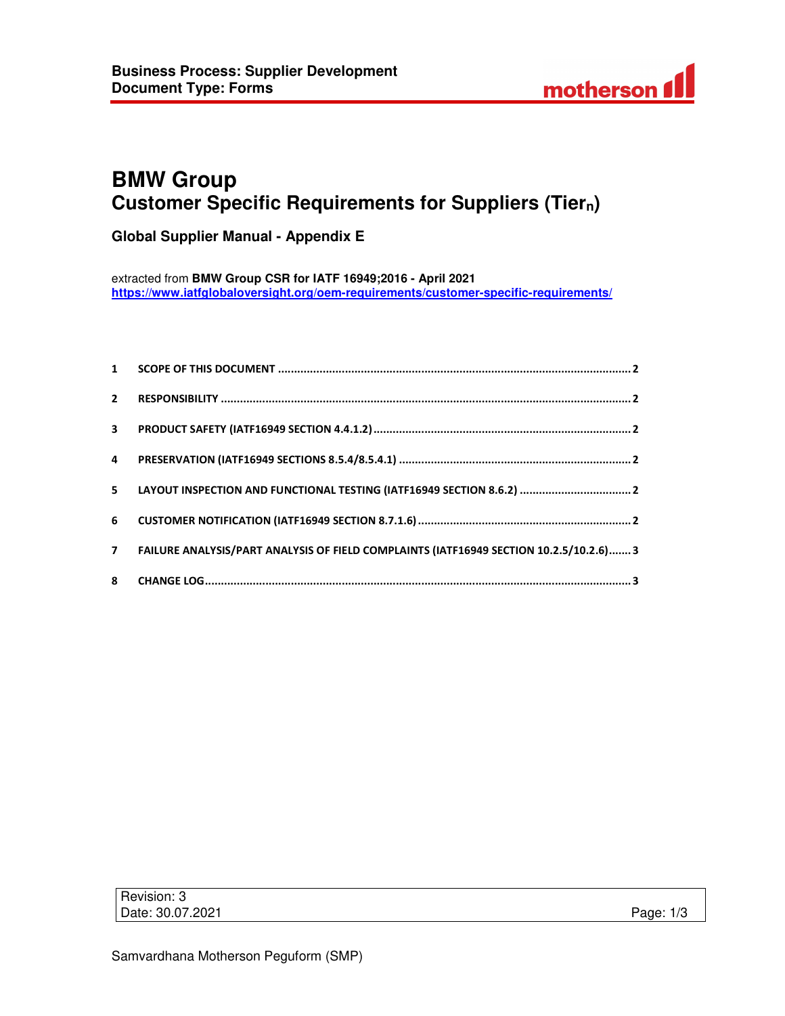

# **BMW Group Customer Specific Requirements for Suppliers (Tiern)**

**Global Supplier Manual - Appendix E** 

extracted from **BMW Group CSR for IATF 16949;2016 - April 2021 https://www.iatfglobaloversight.org/oem-requirements/customer-specific-requirements/**

| 7 FAILURE ANALYSIS/PART ANALYSIS OF FIELD COMPLAINTS (IATF16949 SECTION 10.2.5/10.2.6) 3 |
|------------------------------------------------------------------------------------------|
|                                                                                          |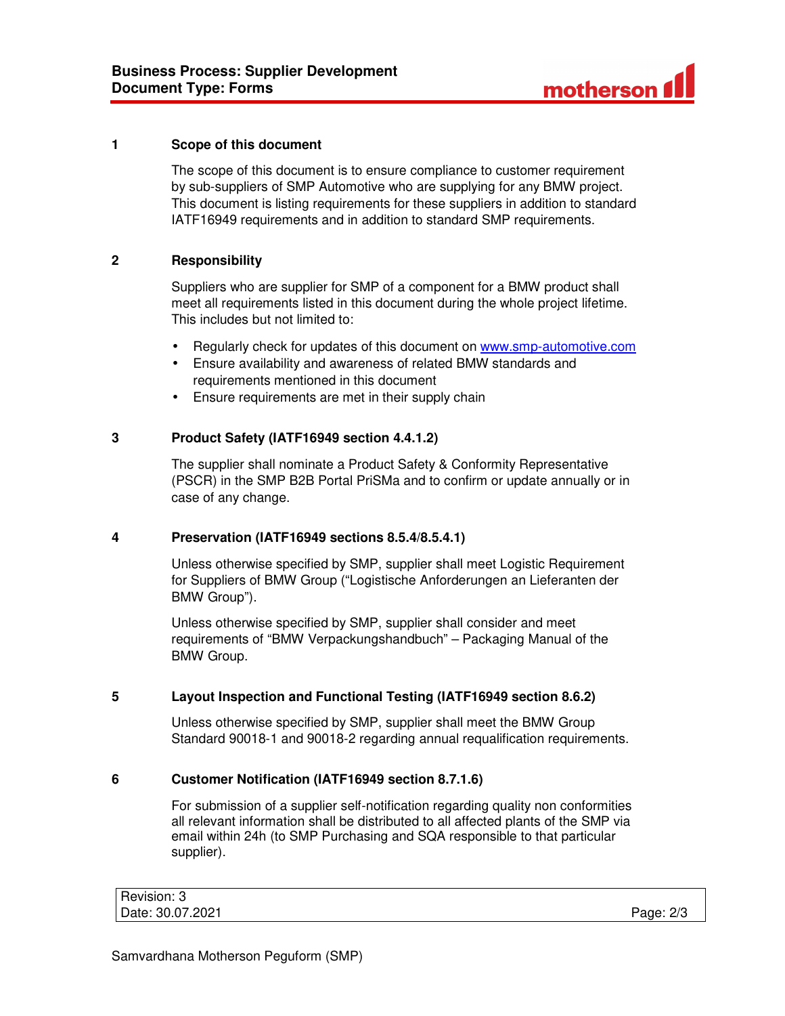

### **1 Scope of this document**

The scope of this document is to ensure compliance to customer requirement by sub-suppliers of SMP Automotive who are supplying for any BMW project. This document is listing requirements for these suppliers in addition to standard IATF16949 requirements and in addition to standard SMP requirements.

# **2 Responsibility**

Suppliers who are supplier for SMP of a component for a BMW product shall meet all requirements listed in this document during the whole project lifetime. This includes but not limited to:

- Regularly check for updates of this document on www.smp-automotive.com
- Ensure availability and awareness of related BMW standards and requirements mentioned in this document
- Ensure requirements are met in their supply chain

# **3 Product Safety (IATF16949 section 4.4.1.2)**

The supplier shall nominate a Product Safety & Conformity Representative (PSCR) in the SMP B2B Portal PriSMa and to confirm or update annually or in case of any change.

#### **4 Preservation (IATF16949 sections 8.5.4/8.5.4.1)**

Unless otherwise specified by SMP, supplier shall meet Logistic Requirement for Suppliers of BMW Group ("Logistische Anforderungen an Lieferanten der BMW Group").

Unless otherwise specified by SMP, supplier shall consider and meet requirements of "BMW Verpackungshandbuch" – Packaging Manual of the BMW Group.

# **5 Layout Inspection and Functional Testing (IATF16949 section 8.6.2)**

Unless otherwise specified by SMP, supplier shall meet the BMW Group Standard 90018-1 and 90018-2 regarding annual requalification requirements.

# **6 Customer Notification (IATF16949 section 8.7.1.6)**

For submission of a supplier self-notification regarding quality non conformities all relevant information shall be distributed to all affected plants of the SMP via email within 24h (to SMP Purchasing and SQA responsible to that particular supplier).

| Revision: 3      |           |
|------------------|-----------|
| Date: 30.07.2021 | Page: 2/3 |